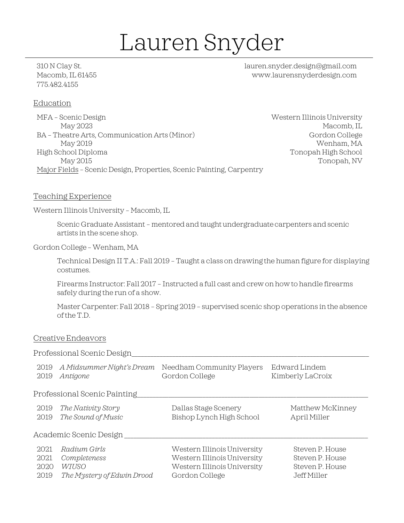# Lauren Snyder

775.482.4155

310 N Clay St. lauren.snyder.design@gmail.com Macomb, IL 61455 www.laurensnyderdesign.com

# Education

MFA – Scenic Design Western Illinois University May 2023 Macomb, IL BA – Theatre Arts, Communication Arts (Minor) Gordon College May 2019 Wenham, MA High School Diploma Tonopah High School May 2015 Tonopah, NV Major Fields – Scenic Design, Properties, Scenic Painting, Carpentry

# Teaching Experience

Western Illinois University – Macomb, IL

Scenic Graduate Assistant – mentored and taught undergraduate carpenters and scenic artists in the scene shop.

Gordon College – Wenham, MA

Technical Design II T.A.: Fall 2019 – Taught a class on drawing the human figure for displaying costumes.

Firearms Instructor: Fall 2017 – Instructed a full cast and crew on how to handle firearms safely during the run of a show.

Master Carpenter: Fall 2018 – Spring 2019 – supervised scenic shop operations in the absence of the T.D.

#### Creative Endeavors

#### Professional Scenic Design\_\_\_\_\_\_\_\_\_\_\_\_\_\_\_\_\_\_\_\_\_\_\_\_\_\_\_\_\_\_\_\_\_\_\_\_\_\_\_\_\_\_\_\_\_\_\_\_\_\_\_\_\_\_\_\_\_\_\_\_\_\_\_\_\_\_\_\_\_\_\_\_\_\_\_\_

| 2019<br>2019 | A Midsummer Night's Dream<br>Antigone    | Needham Community Players<br>Gordon College      | Edward Lindem<br>Kimberly LaCroix |
|--------------|------------------------------------------|--------------------------------------------------|-----------------------------------|
|              | Professional Scenic Painting             |                                                  |                                   |
| 2019<br>2019 | The Nativity Story<br>The Sound of Music | Dallas Stage Scenery<br>Bishop Lynch High School | Matthew McKinney<br>April Miller  |
|              | Academic Scenic Design                   |                                                  |                                   |
| 2021         | Radium Girls                             | Western Illinois University                      | Steven P. House                   |
| 2021         | Completeness                             | Western Illinois University                      | Steven P. House                   |
| 2020         | WIUSO                                    | Western Illinois University                      | Steven P. House                   |
| 2019         | The Mystery of Edwin Drood               | Gordon College                                   | Jeff Miller                       |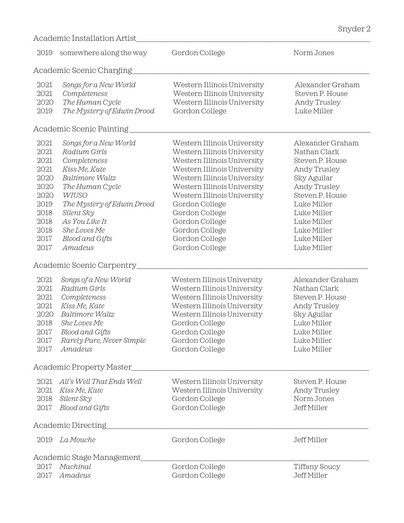| 2019                                                                                                 | somewhere along the way                                                                                                                                                                                                                                               | Gordon College                                                                                                                                                                                                                                                                                                                    | Norm Jones                                                                                                                                                                                                      |
|------------------------------------------------------------------------------------------------------|-----------------------------------------------------------------------------------------------------------------------------------------------------------------------------------------------------------------------------------------------------------------------|-----------------------------------------------------------------------------------------------------------------------------------------------------------------------------------------------------------------------------------------------------------------------------------------------------------------------------------|-----------------------------------------------------------------------------------------------------------------------------------------------------------------------------------------------------------------|
|                                                                                                      | Academic Scenic Charging                                                                                                                                                                                                                                              |                                                                                                                                                                                                                                                                                                                                   |                                                                                                                                                                                                                 |
| 2021<br>2021<br>2020<br>2019                                                                         | Songs for a New World<br>Completeness<br>The Human Cycle<br>The Mystery of Edwin Drood                                                                                                                                                                                | Western Illinois University<br>Western Illinois University<br>Western Illinois University<br>Gordon College                                                                                                                                                                                                                       | Alexander Graham<br>Steven P. House<br>Andy Trusley<br>Luke Miller                                                                                                                                              |
|                                                                                                      | Academic Scenic Painting                                                                                                                                                                                                                                              |                                                                                                                                                                                                                                                                                                                                   |                                                                                                                                                                                                                 |
| 2021<br>2021<br>2021<br>2021<br>2020<br>2020<br>2020<br>2019<br>2018<br>2018<br>2018<br>2017<br>2017 | Songs for a New World<br>Radium Girls<br>Completeness<br>Kiss Me, Kate<br>Baltimore Waltz<br>The Human Cycle<br><b>WIUSO</b><br>The Mystery of Edwin Drood<br>Silent Sky<br>As You Like It<br>She Loves Me<br>Blood and Gifts<br>Amadeus<br>Academic Scenic Carpentry | Western Illinois University<br>Western Illinois University<br>Western Illinois University<br>Western Illinois University<br>Western Illinois University<br>Western Illinois University<br>Western Illinois University<br>Gordon College<br>Gordon College<br>Gordon College<br>Gordon College<br>Gordon College<br>Gordon College | Alexander Graham<br>Nathan Clark<br>Steven P. House<br>Andy Trusley<br>Sky Aguilar<br>Andy Trusley<br>Steven P. House<br>Luke Miller<br>Luke Miller<br>Luke Miller<br>Luke Miller<br>Luke Miller<br>Luke Miller |
| 2021<br>2021<br>2021<br>2021<br>2020<br>2018<br>2017<br>2017<br>2017                                 | Songs of a New World<br>Radium Girls<br>Completeness<br>Kiss Me, Kate<br>Baltimore Waltz<br>She Loves Me<br>Blood and Gifts<br>Rarely Pure, Never Simple<br>Amadeus                                                                                                   | Western Illinois University<br>Western Illinois University<br>Western Illinois University<br>Western Illinois University<br>Western Illinois University<br>Gordon College<br>Gordon College<br>Gordon College<br>Gordon College                                                                                                   | Alexander Graham<br>Nathan Clark<br>Steven P. House<br>Andy Trusley<br>Sky Aguilar<br>Luke Miller<br>Luke Miller<br>Luke Miller<br>Luke Miller                                                                  |
|                                                                                                      | Academic Property Master                                                                                                                                                                                                                                              |                                                                                                                                                                                                                                                                                                                                   |                                                                                                                                                                                                                 |
| 2017                                                                                                 | 2021 All's Well That Ends Well<br>2021 Kiss Me, Kate<br>2018 Silent Sky<br>Blood and Gifts                                                                                                                                                                            | Western Illinois University<br>Western Illinois University<br>Gordon College<br>Gordon College                                                                                                                                                                                                                                    | Steven P. House<br>Andy Trusley<br>Norm Jones<br>Jeff Miller                                                                                                                                                    |
|                                                                                                      | Academic Directing                                                                                                                                                                                                                                                    |                                                                                                                                                                                                                                                                                                                                   |                                                                                                                                                                                                                 |
| 2019                                                                                                 | La Mouche                                                                                                                                                                                                                                                             | Gordon College                                                                                                                                                                                                                                                                                                                    | Jeff Miller                                                                                                                                                                                                     |
|                                                                                                      | Academic Stage Management_                                                                                                                                                                                                                                            |                                                                                                                                                                                                                                                                                                                                   |                                                                                                                                                                                                                 |
| 2017<br>2017                                                                                         | Machinal<br>Amadeus                                                                                                                                                                                                                                                   | Gordon College<br>Gordon College                                                                                                                                                                                                                                                                                                  | Tiffany Soucy<br>Jeff Miller                                                                                                                                                                                    |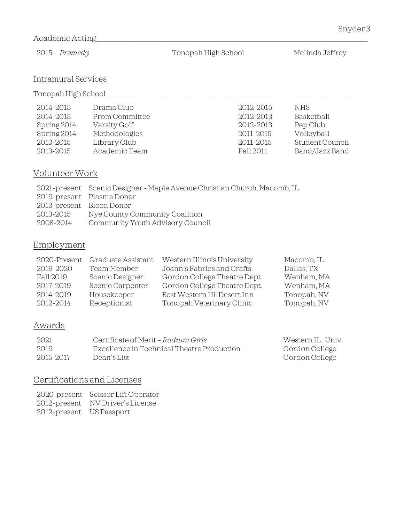# Academic Acting

2015 *Promedy* Tonopah High School Melinda Jeffrey

# Intramural Services

Tonopah High School\_\_\_\_\_\_\_\_\_\_\_\_\_\_\_\_\_\_\_\_\_\_\_\_\_\_\_\_\_\_\_\_\_\_\_\_\_\_\_\_\_\_\_\_\_\_\_\_\_\_\_\_\_\_\_\_\_\_\_\_\_\_\_\_\_\_\_\_\_\_\_\_\_\_\_\_\_\_\_\_\_\_\_\_\_\_\_\_\_\_\_\_

| 2014-2015   | Drama Club     | 2012-2015 | NHS.            |
|-------------|----------------|-----------|-----------------|
| 2014-2015   | Prom Committee | 2012-2013 | Basketball      |
| Spring 2014 | Varsity Golf   | 2012-2013 | Pep Club        |
| Spring 2014 | Methodologies  | 2011-2015 | Volleyball      |
| 2013-2015   | Library Club   | 2011-2015 | Student Council |
| 2013-2015   | Academic Team  | Fall 2011 | Band/Jazz Band  |

# Volunteer Work

|                          | 2021-present Scenic Designer - Maple Avenue Christian Church, Macomb, IL |
|--------------------------|--------------------------------------------------------------------------|
|                          | 2019-present Plasma Donor                                                |
| 2013-present Blood Donor |                                                                          |
| 2013-2015                | Nye County Community Coalition                                           |
| 2008-2014                | Community Youth Advisory Council                                         |

# Employment

| 2020-Present | Graduate Assistant | Western Illinois University  | Macomb, IL  |
|--------------|--------------------|------------------------------|-------------|
| 2019-2020    | Team Member        | Joann's Fabrics and Crafts   | Dallas, TX  |
| Fall 2019    | Scenic Designer    | Gordon College Theatre Dept. | Wenham, MA  |
| 2017-2019    | Scenic Carpenter   | Gordon College Theatre Dept. | Wenham, MA  |
| 2014-2019    | Housekeeper        | Best Western Hi-Desert Inn   | Tonopah, NV |
| 2012-2014    | Receptionist       | Tonopah Veterinary Clinic    | Tonopah, NV |

# Awards

| 2021      | Certificate of Merit – Radium Girls        | Western IL, Univ. |
|-----------|--------------------------------------------|-------------------|
| 2019      | Excellence in Technical Theatre Production | Gordon College    |
| 2015-2017 | Dean's List                                | Gordon College    |

# Certifications and Licenses

2020-present Scissor Lift Operator 2012-present NV Driver's License 2012-present US Passport